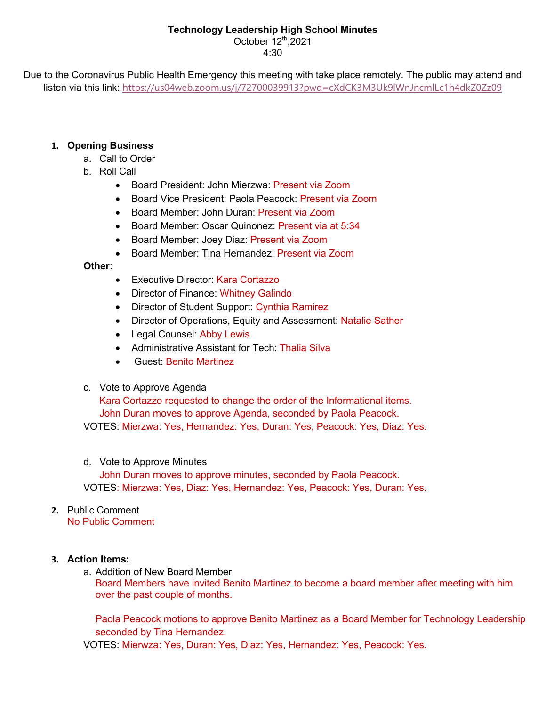# **Technology Leadership High School Minutes**

October 12<sup>th</sup>, 2021 4:30

Due to the Coronavirus Public Health Emergency this meeting with take place remotely. The public may attend and listen via this link: https://us04web.zoom.us/j/72700039913?pwd=cXdCK3M3Uk9lWnJncmlLc1h4dkZ0Zz09

# **1. Opening Business**

- a. Call to Order
- b. Roll Call
	- Board President: John Mierzwa: Present via Zoom
	- Board Vice President: Paola Peacock: Present via Zoom
	- Board Member: John Duran: Present via Zoom
	- Board Member: Oscar Quinonez: Present via at 5:34
	- Board Member: Joey Diaz: Present via Zoom
	- Board Member: Tina Hernandez: Present via Zoom

## **Other:**

- Executive Director: Kara Cortazzo
- Director of Finance: Whitney Galindo
- Director of Student Support: Cynthia Ramirez
- Director of Operations, Equity and Assessment: Natalie Sather
- Legal Counsel: Abby Lewis
- Administrative Assistant for Tech: Thalia Silva
- Guest: Benito Martinez

## c. Vote to Approve Agenda

Kara Cortazzo requested to change the order of the Informational items. John Duran moves to approve Agenda, seconded by Paola Peacock. VOTES: Mierzwa: Yes, Hernandez: Yes, Duran: Yes, Peacock: Yes, Diaz: Yes.

### d. Vote to Approve Minutes

John Duran moves to approve minutes, seconded by Paola Peacock. VOTES: Mierzwa: Yes, Diaz: Yes, Hernandez: Yes, Peacock: Yes, Duran: Yes.

#### **2.** Public Comment No Public Comment

## **3. Action Items:**

a. Addition of New Board Member

Board Members have invited Benito Martinez to become a board member after meeting with him over the past couple of months.

Paola Peacock motions to approve Benito Martinez as a Board Member for Technology Leadership seconded by Tina Hernandez.

VOTES: Mierwza: Yes, Duran: Yes, Diaz: Yes, Hernandez: Yes, Peacock: Yes.